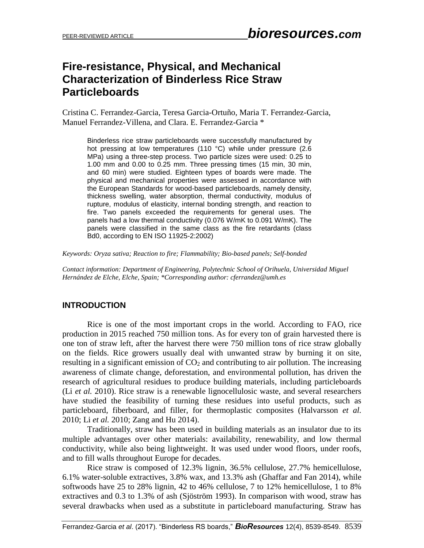## **Fire-resistance, Physical, and Mechanical Characterization of Binderless Rice Straw Particleboards**

Cristina C. Ferrandez-Garcia, Teresa Garcia-Ortuño, Maria T. Ferrandez-Garcia, Manuel Ferrandez-Villena, and Clara. E. Ferrandez-Garcia \*

Binderless rice straw particleboards were successfully manufactured by hot pressing at low temperatures (110 °C) while under pressure (2.6 MPa) using a three-step process. Two particle sizes were used: 0.25 to 1.00 mm and 0.00 to 0.25 mm. Three pressing times (15 min, 30 min, and 60 min) were studied. Eighteen types of boards were made. The physical and mechanical properties were assessed in accordance with the European Standards for wood-based particleboards, namely density, thickness swelling, water absorption, thermal conductivity, modulus of rupture, modulus of elasticity, internal bonding strength, and reaction to fire. Two panels exceeded the requirements for general uses. The panels had a low thermal conductivity (0.076 W/mK to 0.091 W/mK). The panels were classified in the same class as the fire retardants (class Bd0, according to EN ISO 11925-2:2002)

*Keywords: Oryza sativa; Reaction to fire; Flammability; Bio-based panels; Self-bonded*

*Contact information: Department of Engineering, Polytechnic School of Orihuela, Universidad Miguel Hernández de Elche, Elche, Spain; \*Corresponding author: cferrandez@umh.es*

## **INTRODUCTION**

Rice is one of the most important crops in the world. According to FAO, rice production in 2015 reached 750 million tons. As for every ton of grain harvested there is one ton of straw left, after the harvest there were 750 million tons of rice straw globally on the fields. Rice growers usually deal with unwanted straw by burning it on site, resulting in a significant emission of  $CO<sub>2</sub>$  and contributing to air pollution. The increasing awareness of climate change, deforestation, and environmental pollution, has driven the research of agricultural residues to produce building materials, including particleboards (Li *et al.* 2010). Rice straw is a renewable lignocellulosic waste, and several researchers have studied the feasibility of turning these residues into useful products, such as particleboard, fiberboard, and filler, for thermoplastic composites (Halvarsson *et al.* 2010; Li *et al.* 2010; Zang and Hu 2014).

Traditionally, straw has been used in building materials as an insulator due to its multiple advantages over other materials: availability, renewability, and low thermal conductivity, while also being lightweight. It was used under wood floors, under roofs, and to fill walls throughout Europe for decades.

Rice straw is composed of 12.3% lignin, 36.5% cellulose, 27.7% hemicellulose, 6.1% water-soluble extractives, 3.8% wax, and 13.3% ash (Ghaffar and Fan 2014), while softwoods have 25 to 28% lignin, 42 to 46% cellulose, 7 to 12% hemicellulose, 1 to 8% extractives and 0.3 to 1.3% of ash (Sjöström 1993). In comparison with wood, straw has several drawbacks when used as a substitute in particleboard manufacturing. Straw has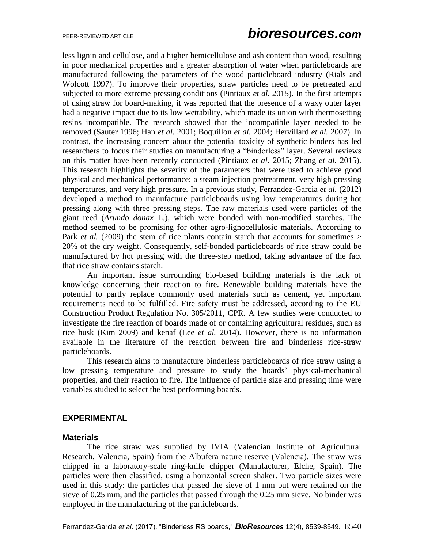less lignin and cellulose, and a higher hemicellulose and ash content than wood, resulting in poor mechanical properties and a greater absorption of water when particleboards are manufactured following the parameters of the wood particleboard industry (Rials and Wolcott 1997). To improve their properties, straw particles need to be pretreated and subjected to more extreme pressing conditions (Pintiaux *et al.* 2015). In the first attempts of using straw for board-making, it was reported that the presence of a waxy outer layer had a negative impact due to its low wettability, which made its union with thermosetting resins incompatible. The research showed that the incompatible layer needed to be removed (Sauter 1996; Han *et al.* 2001; Boquillon *et al.* 2004; Hervillard *et al.* 2007). In contrast, the increasing concern about the potential toxicity of synthetic binders has led researchers to focus their studies on manufacturing a "binderless" layer. Several reviews on this matter have been recently conducted (Pintiaux *et al.* 2015; Zhang *et al.* 2015). This research highlights the severity of the parameters that were used to achieve good physical and mechanical performance: a steam injection pretreatment, very high pressing temperatures, and very high pressure. In a previous study, Ferrandez-Garcia *et al.* (2012) developed a method to manufacture particleboards using low temperatures during hot pressing along with three pressing steps. The raw materials used were particles of the giant reed (*Arundo donax* L.), which were bonded with non-modified starches. The method seemed to be promising for other agro-lignocellulosic materials. According to Park *et al.* (2009) the stem of rice plants contain starch that accounts for sometimes  $>$ 20% of the dry weight. Consequently, self-bonded particleboards of rice straw could be manufactured by hot pressing with the three-step method, taking advantage of the fact that rice straw contains starch.

An important issue surrounding bio-based building materials is the lack of knowledge concerning their reaction to fire. Renewable building materials have the potential to partly replace commonly used materials such as cement, yet important requirements need to be fulfilled. Fire safety must be addressed, according to the EU Construction Product Regulation No. 305/2011, CPR. A few studies were conducted to investigate the fire reaction of boards made of or containing agricultural residues, such as rice husk (Kim 2009) and kenaf (Lee *et al.* 2014). However, there is no information available in the literature of the reaction between fire and binderless rice-straw particleboards.

This research aims to manufacture binderless particleboards of rice straw using a low pressing temperature and pressure to study the boards' physical-mechanical properties, and their reaction to fire. The influence of particle size and pressing time were variables studied to select the best performing boards.

## **EXPERIMENTAL**

## **Materials**

The rice straw was supplied by IVIA (Valencian Institute of Agricultural Research, Valencia, Spain) from the Albufera nature reserve (Valencia). The straw was chipped in a laboratory-scale ring-knife chipper (Manufacturer, Elche, Spain). The particles were then classified, using a horizontal screen shaker. Two particle sizes were used in this study: the particles that passed the sieve of 1 mm but were retained on the sieve of 0.25 mm, and the particles that passed through the 0.25 mm sieve. No binder was employed in the manufacturing of the particleboards.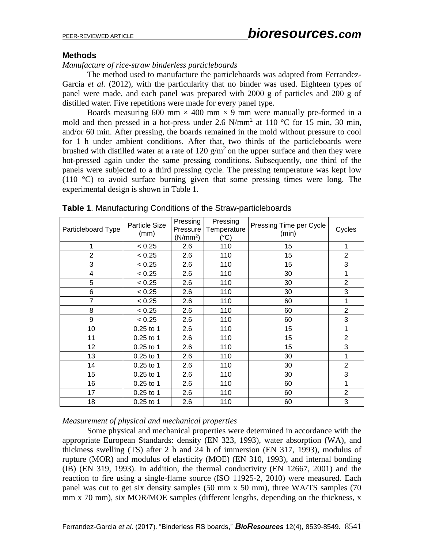## **Methods**

*Manufacture of rice-straw binderless particleboards*

The method used to manufacture the particleboards was adapted from Ferrandez-Garcia *et al.* (2012), with the particularity that no binder was used. Eighteen types of panel were made, and each panel was prepared with 2000 g of particles and 200 g of distilled water. Five repetitions were made for every panel type.

Boards measuring 600 mm  $\times$  400 mm  $\times$  9 mm were manually pre-formed in a mold and then pressed in a hot-press under 2.6 N/mm<sup>2</sup> at 110 °C for 15 min, 30 min, and/or 60 min. After pressing, the boards remained in the mold without pressure to cool for 1 h under ambient conditions. After that, two thirds of the particleboards were brushed with distilled water at a rate of 120  $\frac{g}{m^2}$  on the upper surface and then they were hot-pressed again under the same pressing conditions. Subsequently, one third of the panels were subjected to a third pressing cycle. The pressing temperature was kept low (110 °C) to avoid surface burning given that some pressing times were long. The experimental design is shown in Table 1.

| Particleboard Type | <b>Particle Size</b><br>(mm) | Pressing<br>Pressure<br>(N/mm <sup>2</sup> ) | Pressing<br>Temperature<br>(°C) | Pressing Time per Cycle<br>(min) | Cycles         |
|--------------------|------------------------------|----------------------------------------------|---------------------------------|----------------------------------|----------------|
| 1                  | < 0.25                       | 2.6                                          | 110                             | 15                               | 1              |
| $\overline{2}$     | < 0.25                       | 2.6                                          | 110                             | 15                               | $\overline{2}$ |
| 3                  | < 0.25                       | 2.6                                          | 110                             | 15                               | 3              |
| 4                  | < 0.25                       | 2.6                                          | 110                             | 30                               | 1              |
| 5                  | < 0.25                       | 2.6                                          | 110                             | 30                               | $\overline{2}$ |
| 6                  | < 0.25                       | 2.6                                          | 110                             | 30                               | 3              |
| $\overline{7}$     | < 0.25                       | 2.6                                          | 110                             | 60                               | 1              |
| 8                  | < 0.25                       | 2.6                                          | 110                             | 60                               | $\overline{2}$ |
| 9                  | < 0.25                       | 2.6                                          | 110                             | 60                               | 3              |
| 10                 | 0.25 to 1                    | 2.6                                          | 110                             | 15                               | 1              |
| 11                 | $0.25$ to 1                  | 2.6                                          | 110                             | 15                               | $\overline{2}$ |
| 12                 | $0.25$ to 1                  | 2.6                                          | 110                             | 15                               | 3              |
| 13                 | $0.25$ to 1                  | 2.6                                          | 110                             | 30                               | 1              |
| 14                 | 0.25 to 1                    | 2.6                                          | 110                             | 30                               | $\overline{2}$ |
| 15                 | $0.25$ to 1                  | 2.6                                          | 110                             | 30                               | 3              |
| 16                 | $0.25$ to 1                  | 2.6                                          | 110                             | 60                               | 1              |
| 17                 | $0.25$ to 1                  | 2.6                                          | 110                             | 60                               | $\overline{2}$ |
| 18                 | $0.25$ to 1                  | 2.6                                          | 110                             | 60                               | 3              |

**Table 1**. Manufacturing Conditions of the Straw-particleboards

## *Measurement of physical and mechanical properties*

Some physical and mechanical properties were determined in accordance with the appropriate European Standards: density (EN 323, 1993), water absorption (WA), and thickness swelling (TS) after 2 h and 24 h of immersion (EN 317, 1993), modulus of rupture (MOR) and modulus of elasticity (MOE) (EN 310, 1993), and internal bonding (IB) (EN 319, 1993). In addition, the thermal conductivity (EN 12667, 2001) and the reaction to fire using a single-flame source (ISO 11925-2, 2010) were measured. Each panel was cut to get six density samples (50 mm x 50 mm), three WA/TS samples (70 mm x 70 mm), six MOR/MOE samples (different lengths, depending on the thickness, x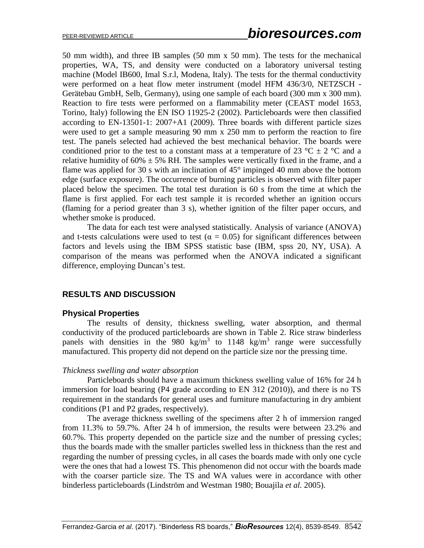50 mm width), and three IB samples (50 mm x 50 mm). The tests for the mechanical properties, WA, TS, and density were conducted on a laboratory universal testing machine (Model IB600, Imal S.r.l, Modena, Italy). The tests for the thermal conductivity were performed on a heat flow meter instrument (model HFM 436/3/0, NETZSCH - Gerätebau GmbH, Selb, Germany), using one sample of each board (300 mm x 300 mm). Reaction to fire tests were performed on a flammability meter (CEAST model 1653, Torino, Italy) following the EN ISO 11925-2 (2002). Particleboards were then classified according to EN-13501-1: 2007+A1 (2009). Three boards with different particle sizes were used to get a sample measuring 90 mm x 250 mm to perform the reaction to fire test. The panels selected had achieved the best mechanical behavior. The boards were conditioned prior to the test to a constant mass at a temperature of 23  $^{\circ}$ C  $\pm$  2  $^{\circ}$ C and a relative humidity of  $60\% \pm 5\%$  RH. The samples were vertically fixed in the frame, and a flame was applied for 30 s with an inclination of  $45^{\circ}$  impinged 40 mm above the bottom edge (surface exposure). The occurrence of burning particles is observed with filter paper placed below the specimen. The total test duration is 60 s from the time at which the flame is first applied. For each test sample it is recorded whether an ignition occurs (flaming for a period greater than 3 s), whether ignition of the filter paper occurs, and whether smoke is produced.

The data for each test were analysed statistically. Analysis of variance (ANOVA) and t-tests calculations were used to test ( $\alpha = 0.05$ ) for significant differences between factors and levels using the IBM SPSS statistic base (IBM, spss 20, NY, USA). A comparison of the means was performed when the ANOVA indicated a significant difference, employing Duncan's test.

## **RESULTS AND DISCUSSION**

#### **Physical Properties**

The results of density, thickness swelling, water absorption, and thermal conductivity of the produced particleboards are shown in Table 2. Rice straw binderless panels with densities in the 980 kg/m<sup>3</sup> to 1148 kg/m<sup>3</sup> range were successfully manufactured. This property did not depend on the particle size nor the pressing time.

#### *Thickness swelling and water absorption*

Particleboards should have a maximum thickness swelling value of 16% for 24 h immersion for load bearing (P4 grade according to EN 312 (2010)), and there is no TS requirement in the standards for general uses and furniture manufacturing in dry ambient conditions (P1 and P2 grades, respectively).

The average thickness swelling of the specimens after 2 h of immersion ranged from 11.3% to 59.7%. After 24 h of immersion, the results were between 23.2% and 60.7%. This property depended on the particle size and the number of pressing cycles; thus the boards made with the smaller particles swelled less in thickness than the rest and regarding the number of pressing cycles, in all cases the boards made with only one cycle were the ones that had a lowest TS. This phenomenon did not occur with the boards made with the coarser particle size. The TS and WA values were in accordance with other binderless particleboards (Lindström and Westman 1980; Bouajila *et al.* 2005).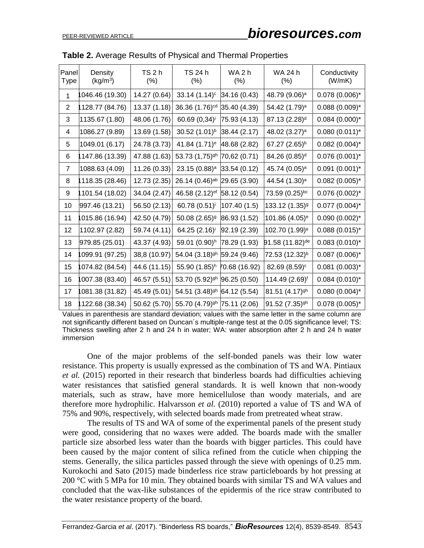| Panel<br>Type  | Density<br>(kg/m <sup>3</sup> ) | TS 2 h<br>$(\%)$ | TS 24 h<br>$(\%)$                       | WA <sub>2</sub> h<br>$(\%)$ | WA 24 h<br>$(\%)$           | Conductivity<br>(W/mK) |
|----------------|---------------------------------|------------------|-----------------------------------------|-----------------------------|-----------------------------|------------------------|
| $\mathbf{1}$   | 046.46 (19.30)                  | 14.27 (0.64)     | $33.14(1.14)^c$                         | 34.16 (0.43)                | 48.79 (9.06) <sup>a</sup>   | $0.078(0.006)^{*}$     |
| $\overline{2}$ | 128.77 (84.76)                  | 13.37 (1.18)     | 36.36 (1.76) <sup>cd</sup>              | 35.40 (4.39)                | 54.42 (1.79) <sup>a</sup>   | $0.088(0.009)^*$       |
| 3              | 1135.67 (1.80)                  | 48.06 (1.76)     | 60.69 (0,34) <sup>i</sup>               | 75.93 (4.13)                | 87.13 (2.28) <sup>d</sup>   | $0.084(0.000)*$        |
| 4              | 1086.27 (9.89)                  | 13.69 (1.58)     | 30.52 (1.01) <sup>b</sup>               | 38.44 (2.17)                | 48.02 (3.27) <sup>a</sup>   | $0.080(0.011)^*$       |
| 5              | 1049.01 (6.17)                  | 24.78 (3.73)     | 41.84 (1.71) <sup>e</sup>               | 48.68 (2.82)                | 67.27 (2.65) <sup>b</sup>   | $0.082(0.004)^{*}$     |
| 6              | 147.86 (13.39)                  | 47.88 (1.63)     | 53.73 (1,75) <sup>gh</sup>              | 70,62 (0.71)                | 84.26 (0.85) <sup>d</sup>   | $0.076(0.001)^{*}$     |
| $\overline{7}$ | 1088.63 (4.09)                  | 11.26 (0.33)     | 23.15 (0.88) <sup>a</sup>               | 33.54 (0.12)                | 45.74 (0.05) <sup>a</sup>   | $0.091(0.001)^*$       |
| 8              | 118.35 (28.46)                  | 12.73 (2.35)     | 26.14 (0.46) <sup>ab</sup> 29.65 (3.90) |                             | 44.54 (1.30) <sup>a</sup>   | $0.082(0.005)^{*}$     |
| 9              | 101.54 (18.02)                  | 34.04 (2.47)     | 46.58 (2.12) <sup>ef</sup> 58.12 (0.54) |                             | 73.59 (0.25)bc              | $0.076(0.002)^{*}$     |
| 10             | 997.46 (13.21)                  | 56.50 (2.13)     | 60.78 (0.51) <sup>i</sup>               | 107.40 (1.5)                | 133.12 (1.35) <sup>g</sup>  | $0.077$ (0.004)*       |
| 11             | 015.86 (16.94)                  | 42.50 (4.79)     | 50.08 (2.65) <sup>9</sup>               | 86.93 (1.52)                | 101.86 (4.05) <sup>e</sup>  | $0.090(0.002)^{*}$     |
| 12             | 1102.97 (2.82)                  | 59.74 (4.11)     | 64.25 (2.16) <sup>i</sup>               | 92.19 (2.39)                | 102.70 (1.99) <sup>e</sup>  | $0.088(0.015)^{*}$     |
| 13             | 979.85 (25.01)                  | 43.37 (4.93)     | 59.01 (0.90) <sup>h</sup>               | 78.29 (1.93)                | 91.58 (11.82) <sup>de</sup> | $0.083(0.010)^{*}$     |
| 14             | 099.91 (97.25)                  | 38,8 (10.97)     | 54.04 (3.18) <sup>gh</sup> 59.24 (9.46) |                             | 72.53 (12.32) <sup>b</sup>  | $0.087(0.006)^{*}$     |
| 15             | 074.82 (84.54)                  | 44.6 (11.15)     | 55.90 (1.85) <sup>h</sup> 70.68 (16.92) |                             | 82.69 (8.59) <sup>c</sup>   | $0.081(0.003)^{*}$     |
| 16             | 007.38 (83.40)                  | 46.57 (5.51)     | 53.70 (5.92) <sup>gh</sup> 96.25 (0.50) |                             | 114.49 (2.69) <sup>f</sup>  | $0.084(0.010)^{*}$     |
| 17             | 081.38 (31.82)                  | 45.49 (5.01)     | 54.51 (3.48) <sup>gh</sup> 64.12 (5.54) |                             | 81.51 (4.17) <sup>gh</sup>  | $0.080(0.004)^{*}$     |
| 18             | 122.68 (38.34)                  | 50.62 (5.70)     | 55.70 (4.79) <sup>gh</sup> 75.11 (2.06) |                             | 91.52 (7.35) <sup>gh</sup>  | $0.078(0.005)^{*}$     |

| <b>Table 2.</b> Average Results of Physical and Thermal Properties |  |  |  |  |
|--------------------------------------------------------------------|--|--|--|--|
|--------------------------------------------------------------------|--|--|--|--|

Values in parenthesis are standard deviation; values with the same letter in the same column are not significantly different based on Duncan´s multiple-range test at the 0.05 significance level; TS: Thickness swelling after 2 h and 24 h in water; WA: water absorption after 2 h and 24 h water immersion

One of the major problems of the self-bonded panels was their low water resistance. This property is usually expressed as the combination of TS and WA. Pintiaux *et al.* (2015) reported in their research that binderless boards had difficulties achieving water resistances that satisfied general standards. It is well known that non-woody materials, such as straw, have more hemicellulose than woody materials, and are therefore more hydrophilic. Halvarsson *et al.* (2010) reported a value of TS and WA of 75% and 90%, respectively, with selected boards made from pretreated wheat straw.

The results of TS and WA of some of the experimental panels of the present study were good, considering that no waxes were added. The boards made with the smaller particle size absorbed less water than the boards with bigger particles. This could have been caused by the major content of silica refined from the cuticle when chipping the stems. Generally, the silica particles passed through the sieve with openings of 0.25 mm. Kurokochi and Sato (2015) made binderless rice straw particleboards by hot pressing at 200 °C with 5 MPa for 10 min. They obtained boards with similar TS and WA values and concluded that the wax-like substances of the epidermis of the rice straw contributed to the water resistance property of the board.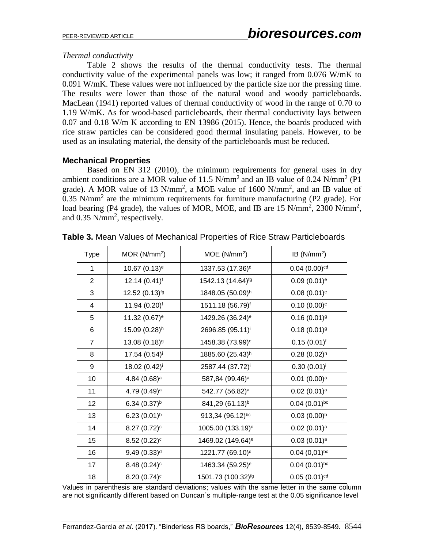## *Thermal conductivity*

Table 2 shows the results of the thermal conductivity tests. The thermal conductivity value of the experimental panels was low; it ranged from 0.076 W/mK to 0.091 W/mK. These values were not influenced by the particle size nor the pressing time. The results were lower than those of the natural wood and woody particleboards. MacLean (1941) reported values of thermal conductivity of wood in the range of 0.70 to 1.19 W/mK. As for wood-based particleboards, their thermal conductivity lays between 0.07 and 0.18 W/m K according to EN 13986 (2015). Hence, the boards produced with rice straw particles can be considered good thermal insulating panels. However, to be used as an insulating material, the density of the particleboards must be reduced.

## **Mechanical Properties**

Based on EN 312 (2010), the minimum requirements for general uses in dry ambient conditions are a MOR value of 11.5  $N/mm^2$  and an IB value of 0.24  $N/mm^2$  (P1 grade). A MOR value of 13  $N/mm^2$ , a MOE value of 1600  $N/mm^2$ , and an IB value of 0.35 N/mm<sup>2</sup> are the minimum requirements for furniture manufacturing (P2 grade). For load bearing (P4 grade), the values of MOR, MOE, and IB are 15  $N/mm^2$ , 2300  $N/mm^2$ , and  $0.35$  N/mm<sup>2</sup>, respectively.

| <b>Type</b>    | MOR (N/mm <sup>2</sup> )   | MOE(N/mm <sup>2</sup> )        | $IB(N/mm^2)$              |
|----------------|----------------------------|--------------------------------|---------------------------|
| 1              | 10.67 (0.13) <sup>e</sup>  | 1337.53 (17.36) <sup>d</sup>   | $0.04(0.00)$ cd           |
| $\overline{2}$ | $12.14(0.41)^f$            | 1542.13 (14.64) <sup>fg</sup>  | $0.09(0.01)$ <sup>e</sup> |
| 3              | 12.52 (0.13) <sup>fg</sup> | 1848.05 (50.09)h               | $0.08(0.01)^e$            |
| 4              | 11.94 (0.20) <sup>f</sup>  | 1511.18 (56.79) <sup>f</sup>   | $0.10(0.00)$ <sup>e</sup> |
| 5              | 11.32 (0.67) <sup>e</sup>  | 1429.26 (36.24) <sup>e</sup>   | $0.16(0.01)$ <sup>g</sup> |
| 6              | 15.09 (0.28) <sup>h</sup>  | 2696.85 (95.11) <sup>i</sup>   | $0.18(0.01)$ <sup>g</sup> |
| $\overline{7}$ | 13.08 (0.18) <sup>9</sup>  | 1458.38 (73.99) <sup>e</sup>   | $0.15(0.01)^f$            |
| 8              | 17.54 (0.54) <sup>i</sup>  | 1885.60 (25.43) <sup>h</sup>   | $0.28(0.02)^h$            |
| 9              | 18.02 (0.42) <sup>i</sup>  | 2587.44 (37.72) <sup>i</sup>   | $0.30(0.01)^{i}$          |
| 10             | 4.84 (0.68) <sup>a</sup>   | 587,84 (99.46) <sup>a</sup>    | $0.01$ $(0.00)^a$         |
| 11             | 4.79 (0.49) <sup>a</sup>   | 542.77 (56.82) <sup>a</sup>    | $0.02$ $(0.01)^a$         |
| 12             | 6.34 $(0.37)^{b}$          | 841,29 (61.13) <sup>b</sup>    | $0.04(0.01)^{bc}$         |
| 13             | 6.23 $(0.01)^{b}$          | 913,34 (96.12)bc               | $0.03(0.00)^{b}$          |
| 14             | $8.27(0.72)^c$             | 1005.00 (133.19) <sup>c</sup>  | 0.02(0.01) <sup>a</sup>   |
| 15             | $8.52(0.22)^c$             | 1469.02 (149.64) <sup>e</sup>  | 0.03(0.01) <sup>a</sup>   |
| 16             | $9.49(0.33)$ <sup>d</sup>  | 1221.77 (69.10) <sup>d</sup>   | $0.04(0.01)^{bc}$         |
| 17             | $8.48(0.24)$ c             | 1463.34 (59.25) <sup>e</sup>   | $0.04(0.01)^{bc}$         |
| 18             | 8.20 $(0.74)$ <sup>c</sup> | 1501.73 (100.32) <sup>fg</sup> | $0.05(0.01)$ cd           |

**Table 3.** Mean Values of Mechanical Properties of Rice Straw Particleboards

Values in parenthesis are standard deviations; values with the same letter in the same column are not significantly different based on Duncan´s multiple-range test at the 0.05 significance level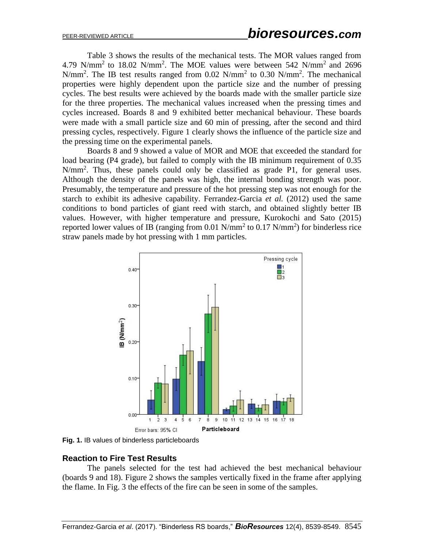Table 3 shows the results of the mechanical tests. The MOR values ranged from 4.79 N/mm<sup>2</sup> to 18.02 N/mm<sup>2</sup>. The MOE values were between 542 N/mm<sup>2</sup> and 2696 N/mm<sup>2</sup>. The IB test results ranged from 0.02 N/mm<sup>2</sup> to 0.30 N/mm<sup>2</sup>. The mechanical properties were highly dependent upon the particle size and the number of pressing cycles. The best results were achieved by the boards made with the smaller particle size for the three properties. The mechanical values increased when the pressing times and cycles increased. Boards 8 and 9 exhibited better mechanical behaviour. These boards were made with a small particle size and 60 min of pressing, after the second and third pressing cycles, respectively. Figure 1 clearly shows the influence of the particle size and the pressing time on the experimental panels.

Boards 8 and 9 showed a value of MOR and MOE that exceeded the standard for load bearing (P4 grade), but failed to comply with the IB minimum requirement of 0.35  $N/mm<sup>2</sup>$ . Thus, these panels could only be classified as grade P1, for general uses. Although the density of the panels was high, the internal bonding strength was poor. Presumably, the temperature and pressure of the hot pressing step was not enough for the starch to exhibit its adhesive capability. Ferrandez-Garcia *et al.* (2012) used the same conditions to bond particles of giant reed with starch, and obtained slightly better IB values. However, with higher temperature and pressure, Kurokochi and Sato (2015) reported lower values of IB (ranging from 0.01 N/mm<sup>2</sup> to 0.17 N/mm<sup>2</sup>) for binderless rice straw panels made by hot pressing with 1 mm particles.



**Fig. 1.** IB values of binderless particleboards

## **Reaction to Fire Test Results**

The panels selected for the test had achieved the best mechanical behaviour (boards 9 and 18). Figure 2 shows the samples vertically fixed in the frame after applying the flame. In Fig. 3 the effects of the fire can be seen in some of the samples.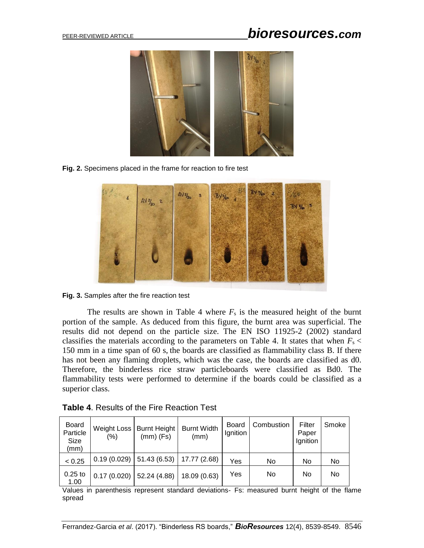# PEER-REVIEWED ARTICLE *bioresources.com*



**Fig. 2.** Specimens placed in the frame for reaction to fire test





The results are shown in Table 4 where  $F_s$  is the measured height of the burnt portion of the sample. As deduced from this figure, the burnt area was superficial. The results did not depend on the particle size. The EN ISO 11925-2 (2002) standard classifies the materials according to the parameters on Table 4. It states that when  $F_s$  < 150 mm in a time span of 60 s, the boards are classified as flammability class B. If there has not been any flaming droplets, which was the case, the boards are classified as d0. Therefore, the binderless rice straw particleboards were classified as Bd0. The flammability tests were performed to determine if the boards could be classified as a superior class.

| <b>Board</b><br>Particle<br>Size<br>(mm) | Weight Loss<br>$(\% )$ | <b>Burnt Height</b><br>$(mm)$ (Fs) | <b>Burnt Width</b><br>(mm) | Board<br>Ignition | Combustion | Filter<br>Paper<br>Ignition | Smoke |
|------------------------------------------|------------------------|------------------------------------|----------------------------|-------------------|------------|-----------------------------|-------|
| < 0.25                                   | 0.19(0.029)            | 51.43 (6.53)                       | 17.77 (2.68)               | Yes               | No         | No                          | No    |
| $0.25$ to<br>1.00                        | 0.17(0.020)            | 52.24 (4.88)                       | 18.09 (0.63)               | Yes               | No         | No                          | No    |

**Table 4**. Results of the Fire Reaction Test

Values in parenthesis represent standard deviations- Fs: measured burnt height of the flame spread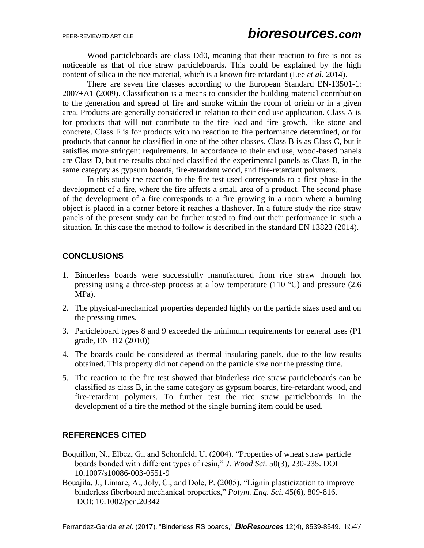Wood particleboards are class Dd0, meaning that their reaction to fire is not as noticeable as that of rice straw particleboards. This could be explained by the high content of silica in the rice material, which is a known fire retardant (Lee *et al.* 2014).

There are seven fire classes according to the European Standard EN-13501-1: 2007+A1 (2009). Classification is a means to consider the building material contribution to the generation and spread of fire and smoke within the room of origin or in a given area. Products are generally considered in relation to their end use application. Class A is for products that will not contribute to the fire load and fire growth, like stone and concrete. Class F is for products with no reaction to fire performance determined, or for products that cannot be classified in one of the other classes. Class B is as Class C, but it satisfies more stringent requirements. In accordance to their end use, wood-based panels are Class D, but the results obtained classified the experimental panels as Class B, in the same category as gypsum boards, fire-retardant wood, and fire-retardant polymers.

In this study the reaction to the fire test used corresponds to a first phase in the development of a fire, where the fire affects a small area of a product. The second phase of the development of a fire corresponds to a fire growing in a room where a burning object is placed in a corner before it reaches a flashover. In a future study the rice straw panels of the present study can be further tested to find out their performance in such a situation. In this case the method to follow is described in the standard EN 13823 (2014).

## **CONCLUSIONS**

- 1. Binderless boards were successfully manufactured from rice straw through hot pressing using a three-step process at a low temperature (110  $^{\circ}$ C) and pressure (2.6) MPa).
- 2. The physical-mechanical properties depended highly on the particle sizes used and on the pressing times.
- 3. Particleboard types 8 and 9 exceeded the minimum requirements for general uses (P1 grade, EN 312 (2010))
- 4. The boards could be considered as thermal insulating panels, due to the low results obtained. This property did not depend on the particle size nor the pressing time.
- 5. The reaction to the fire test showed that binderless rice straw particleboards can be classified as class B, in the same category as gypsum boards, fire-retardant wood, and fire-retardant polymers. To further test the rice straw particleboards in the development of a fire the method of the single burning item could be used.

## **REFERENCES CITED**

- Boquillon, N., Elbez, G., and Schonfeld, U. (2004). "Properties of wheat straw particle boards bonded with different types of resin," *J. Wood Sci*. 50(3), 230-235. DOI 10.1007/s10086-003-0551-9
- Bouajila, J., Limare, A., Joly, C., and Dole, P. (2005). "Lignin plasticization to improve binderless fiberboard mechanical properties," *Polym. Eng. Sci*. 45(6), 809-816. DOI: 10.1002/pen.20342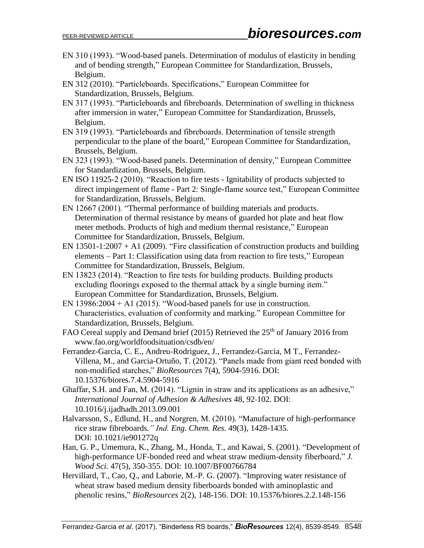- EN 310 (1993). "Wood-based panels. Determination of modulus of elasticity in bending and of bending strength," European Committee for Standardization, Brussels, Belgium.
- EN 312 (2010). "Particleboards. Specifications," European Committee for Standardization, Brussels, Belgium.
- EN 317 (1993). "Particleboards and fibreboards. Determination of swelling in thickness after immersion in water," European Committee for Standardization, Brussels, Belgium.
- EN 319 (1993). "Particleboards and fibreboards. Determination of tensile strength perpendicular to the plane of the board," European Committee for Standardization, Brussels, Belgium.
- EN 323 (1993). "Wood-based panels. Determination of density," European Committee for Standardization, Brussels, Belgium.
- EN ISO 11925-2 (2010). "Reaction to fire tests Ignitability of products subjected to direct impingement of flame - Part 2: Single-flame source test," European Committee for Standardization, Brussels, Belgium.
- EN 12667 (2001). "Thermal performance of building materials and products. Determination of thermal resistance by means of guarded hot plate and heat flow meter methods. Products of high and medium thermal resistance," European Committee for Standardization, Brussels, Belgium.
- EN  $13501-1:2007 + A1$  (2009). "Fire classification of construction products and building elements – Part 1: Classification using data from reaction to fire tests," European Committee for Standardization, Brussels, Belgium.
- EN 13823 (2014). "Reaction to fire tests for building products. Building products excluding floorings exposed to the thermal attack by a single burning item." European Committee for Standardization, Brussels, Belgium.
- EN 13986:2004 + A1 (2015). "Wood-based panels for use in construction. Characteristics, evaluation of conformity and marking." European Committee for Standardization, Brussels, Belgium.
- FAO Cereal supply and Demand brief (2015) Retrieved the  $25<sup>th</sup>$  of January 2016 from [www.fao.org/](http://www.fao.org/)worldfoodsituation/csdb/en/
- Ferrandez-Garcia, C. E., Andreu-Rodriguez, J., Ferrandez-Garcia, M T., Ferrandez-Villena, M., and Garcia-Ortuño, T. (2012). "Panels made from giant reed bonded with non-modified starches," *BioResources* 7(4), 5904-5916. DOI: 10.15376/biores.7.4.5904-5916
- Ghaffar, S.H. and Fan, M. (2014). "Lignin in straw and its applications as an adhesive," *International Journal of Adhesion & Adhesives* 48, 92-102. DOI: 10.1016/j.ijadhadh.2013.09.001
- Halvarsson, S., Edlund, H., and Norgren, M. (2010). "Manufacture of high-performance rice straw fibreboards*," Ind. Eng. Chem. Res.* 49(3), 1428-1435. DOI: 10.1021/ie901272q
- Han, G. P., Umemura, K., Zhang, M., Honda, T., and Kawai, S. (2001). "Development of high-performance UF-bonded reed and wheat straw medium-density fiberboard," *J. Wood Sci.* 47(5), 350-355. DOI: 10.1007/BF00766784
- Hervillard, T., Cao, Q., and Laborie, M.-P. G. (2007). "Improving water resistance of wheat straw based medium density fiberboards bonded with aminoplastic and phenolic resins," *BioResources* 2(2), 148-156. DOI: 10.15376/biores.2.2.148-156